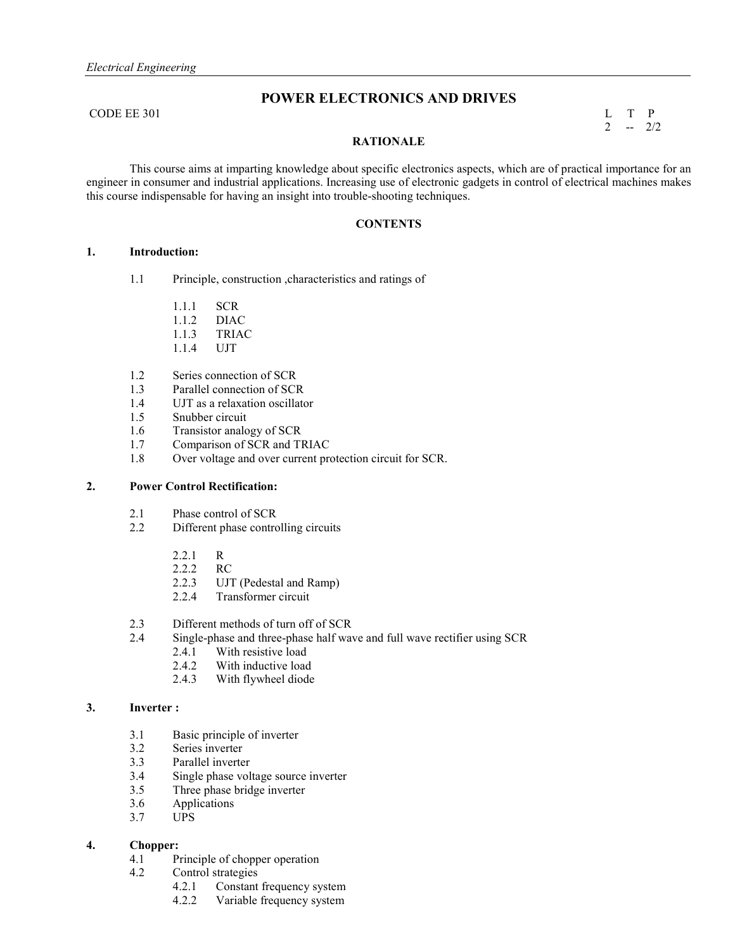# **POWER ELECTRONICS AND DRIVES**

CODE EE 301 L T P

 $2 - 2/2$ 

#### **RATIO ALE**

 This course aims at imparting knowledge about specific electronics aspects, which are of practical importance for an engineer in consumer and industrial applications. Increasing use of electronic gadgets in control of electrical machines makes this course indispensable for having an insight into trouble-shooting techniques.

## **CO TE TS**

#### **1. Introduction:**

- 1.1 Principle, construction ,characteristics and ratings of
	- 1.1.1 SCR
	- 1.1.2 DIAC
	- 1.1.3 TRIAC
	- 1.1.4 UJT
- 1.2 Series connection of SCR
- 1.3 Parallel connection of SCR<br>1.4 UJT as a relaxation oscillate
- UJT as a relaxation oscillator
- 1.5 Snubber circuit
- 1.6 Transistor analogy of SCR<br>1.7 Comparison of SCR and Tl
- Comparison of SCR and TRIAC
- 1.8 Over voltage and over current protection circuit for SCR.

#### **2. Power Control Rectification:**

- 2.1 Phase control of SCR<br>2.2 Different phase control
- Different phase controlling circuits
	-
	- $2.2.1$  R<br> $2.2.2$  RC  $2.2.2$
	- 2.2.3 UJT (Pedestal and Ramp)
	- 2.2.4 Transformer circuit
- 2.3 Different methods of turn off of SCR
- 2.4 Single-phase and three-phase half wave and full wave rectifier using SCR
	- 2.4.1 With resistive load
	- 2.4.2 With inductive load
	- 2.4.3 With flywheel diode

## **3. Inverter :**

- 3.1 Basic principle of inverter
- 3.2 Series inverter
- 3.3 Parallel inverter
- 3.4 Single phase voltage source inverter
- 3.5 Three phase bridge inverter
- 3.6 Applications
- 3.7 UPS

## **4. Chopper:**

- 4.1 Principle of chopper operation
- 4.2 Control strategies
	- 4.2.1 Constant frequency system
	- 4.2.2 Variable frequency system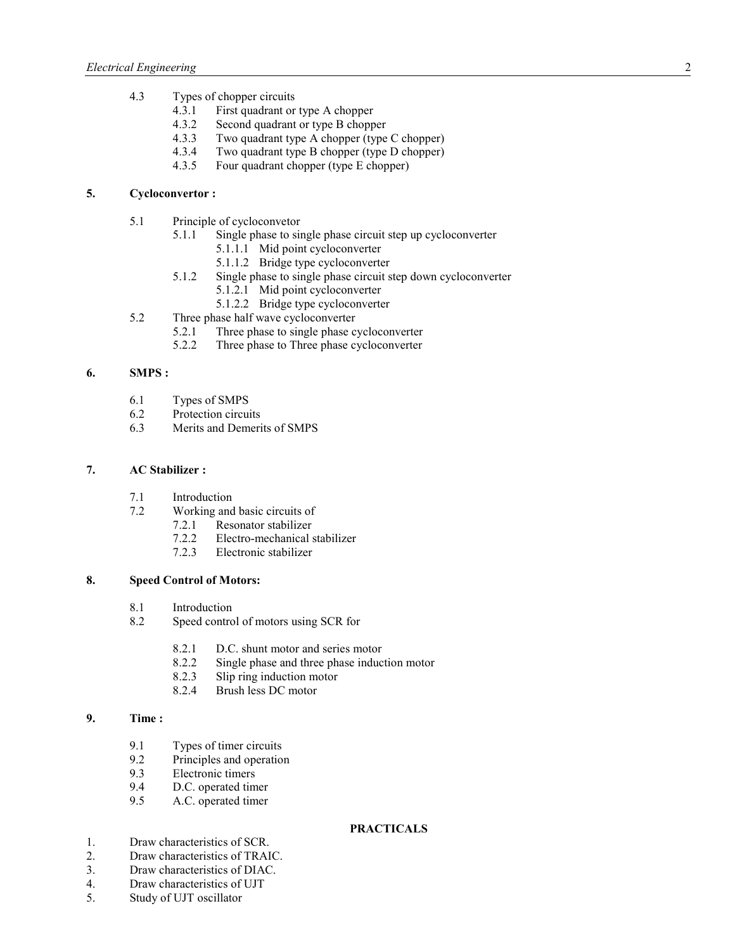- 4.3 Types of chopper circuits
	- 4.3.1 First quadrant or type A chopper
	- 4.3.2 Second quadrant or type B chopper<br>4.3.3 Two quadrant type A chopper (type
	- 4.3.3 Two quadrant type A chopper (type C chopper)<br>4.3.4 Two quadrant type B chopper (type D chopper)
	- 4.3.4 Two quadrant type B chopper (type D chopper)<br>4.3.5 Four quadrant chopper (type E chopper)
	- Four quadrant chopper (type E chopper)

## **5. Cycloconvertor :**

- 5.1 Principle of cycloconvetor
	- 5.1.1 Single phase to single phase circuit step up cycloconverter
		- 5.1.1.1 Mid point cycloconverter
		- 5.1.1.2 Bridge type cycloconverter
	- 5.1.2 Single phase to single phase circuit step down cycloconverter
		- 5.1.2.1 Mid point cycloconverter
- 5.2 5.1.2.2 Bridge type cycloconverter<br>5.2 Three phase half wave cycloconverter
- Three phase half wave cycloconverter<br>5.2.1 Three phase to single phase c
	- Three phase to single phase cycloconverter
	- 5.2.2 Three phase to Three phase cycloconverter

#### **6. SMPS :**

- 6.1 Types of SMPS<br>6.2 Protection circui
- Protection circuits
- 6.3 Merits and Demerits of SMPS

## **7. AC Stabilizer :**

- 7.1 Introduction
- 7.2 Working and basic circuits of
	- 7.2.1 Resonator stabilizer
	- 7.2.2 Electro-mechanical stabilizer
	- 7.2.3 Electronic stabilizer

## **8. Speed Control of Motors:**

- 8.1 Introduction
- 8.2 Speed control of motors using SCR for
	- 8.2.1 D.C. shunt motor and series motor
	- 8.2.2 Single phase and three phase induction motor
	- 8.2.3 Slip ring induction motor
	- 8.2.4 Brush less DC motor

## **9. Time :**

- 9.1 Types of timer circuits<br>9.2 Principles and operation
- Principles and operation
- 9.3 Electronic timers<br>9.4 D.C. operated time
- D.C. operated timer
- 9.5 A.C. operated timer

## **PRACTICALS**

- 1. Draw characteristics of SCR.
- 2. Draw characteristics of TRAIC.
- 3. Draw characteristics of DIAC.
- 4. Draw characteristics of UJT
- 5. Study of UJT oscillator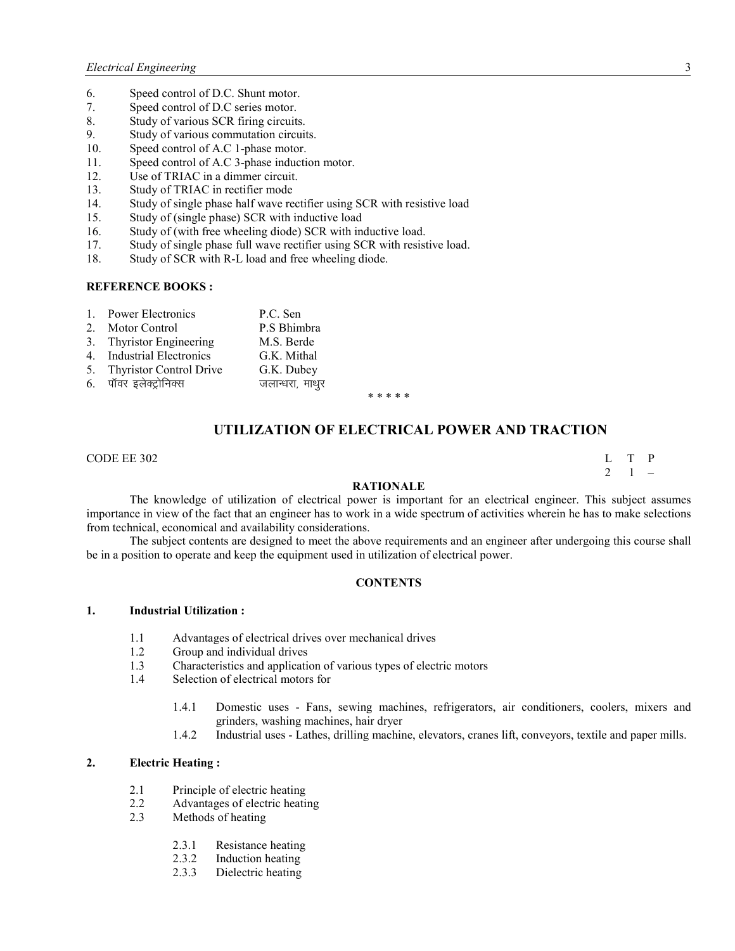- 6. Speed control of D.C. Shunt motor.<br>7. Speed control of D.C series motor.
- Speed control of D.C series motor.
- 8. Study of various SCR firing circuits.
- 9. Study of various commutation circuits.
- 10. Speed control of A.C 1-phase motor.
- 11. Speed control of A.C 3-phase induction motor.
- 12. Use of TRIAC in a dimmer circuit.
- 13. Study of TRIAC in rectifier mode
- 14. Study of single phase half wave rectifier using SCR with resistive load
- 15. Study of (single phase) SCR with inductive load
- 16. Study of (with free wheeling diode) SCR with inductive load.
- 17. Study of single phase full wave rectifier using SCR with resistive load.
- 18. Study of SCR with R-L load and free wheeling diode.

#### **REFERE CE BOOKS :**

| 1. Power Electronics       | P.C. Sen        |
|----------------------------|-----------------|
| 2. Motor Control           | P.S Bhimbra     |
| 3. Thyristor Engineering   | M.S. Berde      |
| 4. Industrial Electronics  | G.K. Mithal     |
| 5. Thyristor Control Drive | G.K. Dubey      |
| 6. पॉवर इलेक्ट्रोनिक्स     | जलान्धरा, माथुर |

\* \* \* \* \*

## UTILIZATION OF ELECTRICAL POWER AND TRACTION

#### $\Box$  CODE EE 302 L T P

 $2 \quad 1 \quad -$ 

#### **RATIO ALE**

The knowledge of utilization of electrical power is important for an electrical engineer. This subject assumes importance in view of the fact that an engineer has to work in a wide spectrum of activities wherein he has to make selections from technical, economical and availability considerations.

 The subject contents are designed to meet the above requirements and an engineer after undergoing this course shall be in a position to operate and keep the equipment used in utilization of electrical power.

#### $\overline{CONTENTS}$

#### **1. Industrial Utilization :**

- 1.1 Advantages of electrical drives over mechanical drives
- 1.2 Group and individual drives
- 1.3 Characteristics and application of various types of electric motors
- 1.4 Selection of electrical motors for
	- 1.4.1 Domestic uses Fans, sewing machines, refrigerators, air conditioners, coolers, mixers and grinders, washing machines, hair dryer
	- 1.4.2 Industrial uses Lathes, drilling machine, elevators, cranes lift, conveyors, textile and paper mills.

#### **2. Electric Heating :**

- 2.1 Principle of electric heating
- 2.2 Advantages of electric heating
- 2.3 Methods of heating
	- 2.3.1 Resistance heating<br>2.3.2 Induction heating
	- 2.3.2 Induction heating<br>2.3.3 Dielectric heating
	- Dielectric heating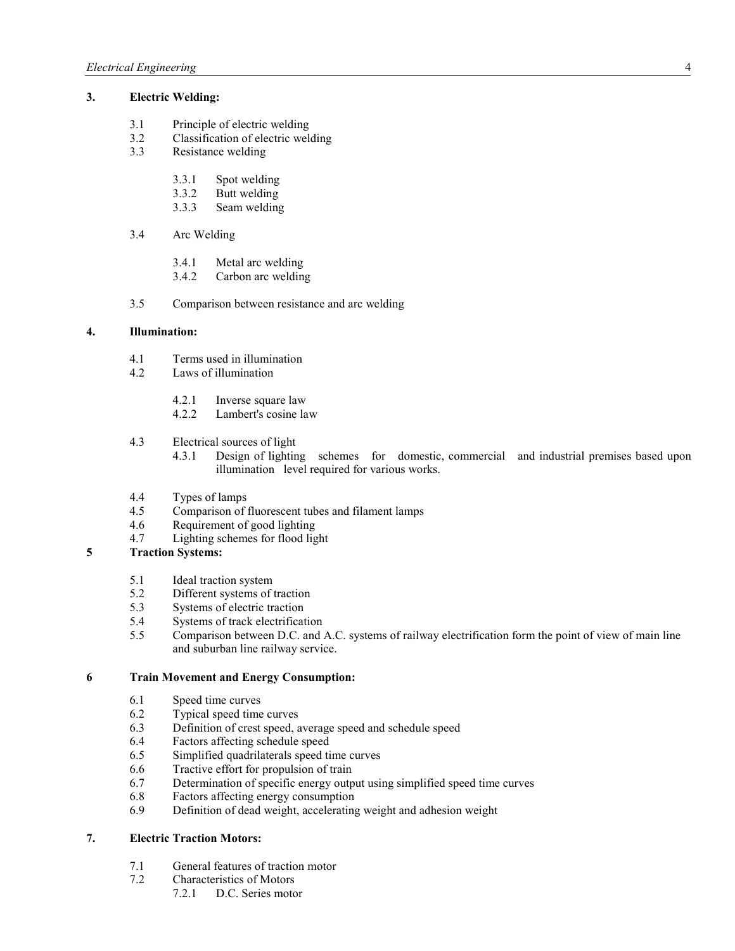## **3. Electric Welding:**

- 3.1 Principle of electric welding<br>3.2 Classification of electric welds
- 3.2 Classification of electric welding<br>3.3 Resistance welding
- Resistance welding
	- 3.3.1 Spot welding
	- 3.3.2 Butt welding
	- 3.3.3 Seam welding
- 3.4 Arc Welding
	- 3.4.1 Metal arc welding
	- 3.4.2 Carbon arc welding
- 3.5 Comparison between resistance and arc welding

## **4. Illumination:**

- 4.1 Terms used in illumination
- 4.2 Laws of illumination
	- 4.2.1 Inverse square law<br>4.2.2 Lambert's cosine la
	- Lambert's cosine law
- 4.3 Electrical sources of light
	- 4.3.1 Design of lighting schemes for domestic, commercial and industrial premises based upon illumination level required for various works.
- 4.4 Types of lamps
- 4.5 Comparison of fluorescent tubes and filament lamps
- 4.6 Requirement of good lighting
- 4.7 Lighting schemes for flood light

## **5 Traction Systems:**

- 5.1 Ideal traction system
- 5.2 Different systems of traction<br>5.3 Systems of electric traction
- Systems of electric traction
- 5.4 Systems of track electrification
- 5.5 Comparison between D.C. and A.C. systems of railway electrification form the point of view of main line and suburban line railway service.

## **6 Train Movement and Energy Consumption:**

- 6.1 Speed time curves<br>6.2 Typical speed time
- 6.2 Typical speed time curves<br>6.3 Definition of crest speed, a
- Definition of crest speed, average speed and schedule speed
- 6.4 Factors affecting schedule speed
- 6.5 Simplified quadrilaterals speed time curves
- 6.6 Tractive effort for propulsion of train
- 6.7 Determination of specific energy output using simplified speed time curves
- 6.8 Factors affecting energy consumption
- 6.9 Definition of dead weight, accelerating weight and adhesion weight

## **7. Electric Traction Motors:**

- 7.1 General features of traction motor<br>7.2 Characteristics of Motors
	- Characteristics of Motors<br>7.2.1 D.C. Series motors
		- D.C. Series motor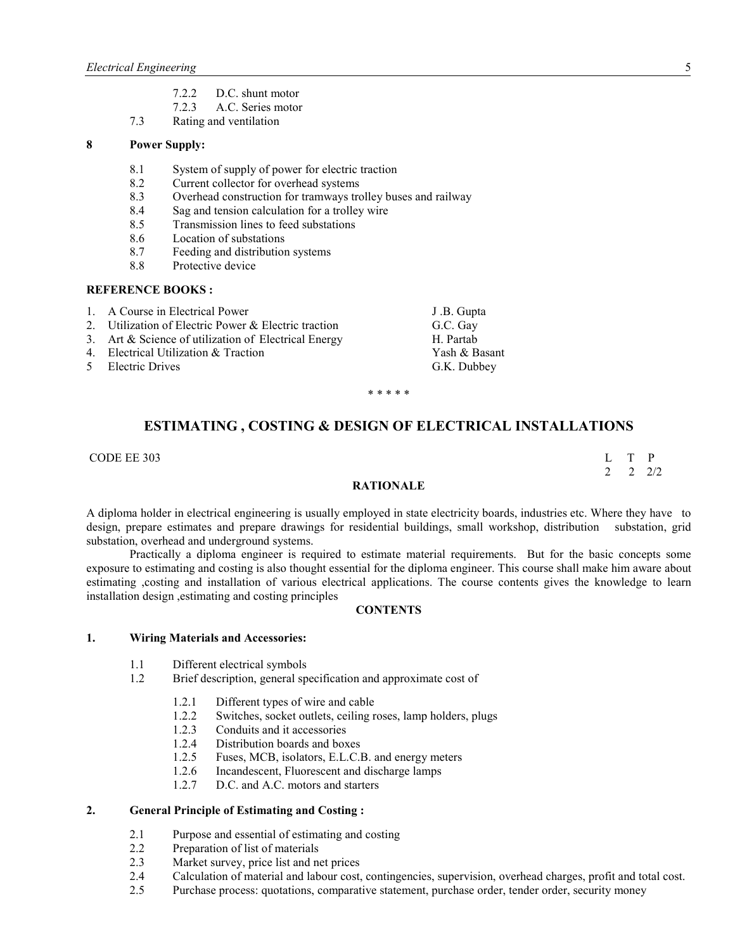- 7.2.2 D.C. shunt motor<br>7.2.3 A.C. Series motor
- A.C. Series motor
- 7.3 Rating and ventilation

## **8 Power Supply:**

- 8.1 System of supply of power for electric traction
- 8.2 Current collector for overhead systems
- 8.3 Overhead construction for tramways trolley buses and railway<br>8.4 Sag and tension calculation for a trolley wire
- Sag and tension calculation for a trolley wire
- 8.5 Transmission lines to feed substations
- 8.6 Location of substations<br>8.7 Feeding and distribution
- Feeding and distribution systems
- 8.8 Protective device

## **REFERE CE BOOKS :**

1. A Course in Electrical Power J.B. Gupta 2. Utilization of Electric Power & Electric traction G.C. Gay 3. Art & Science of utilization of Electrical Energy H. Partab 4. Electrical Utilization & Traction 4. The Yash & Basant 5 Electric Drives G.K. Dubbey

\* \* \* \* \*

# **ESTIMATI G , COSTI G & DESIG OF ELECTRICAL I STALLATIO S**

CODE EE 303 L T P

 $2 \t2 \t2$ 

#### **RATIO ALE**

A diploma holder in electrical engineering is usually employed in state electricity boards, industries etc. Where they have to design, prepare estimates and prepare drawings for residential buildings, small workshop, distribution substation, grid substation, overhead and underground systems.

 Practically a diploma engineer is required to estimate material requirements. But for the basic concepts some exposure to estimating and costing is also thought essential for the diploma engineer. This course shall make him aware about estimating ,costing and installation of various electrical applications. The course contents gives the knowledge to learn installation design ,estimating and costing principles

#### **CO TE TS**

#### **1. Wiring Materials and Accessories:**

- 1.1 Different electrical symbols
- 1.2 Brief description, general specification and approximate cost of
	- 1.2.1 Different types of wire and cable
	- 1.2.2 Switches, socket outlets, ceiling roses, lamp holders, plugs
	- 1.2.3 Conduits and it accessories
	- 1.2.4 Distribution boards and boxes
	- 1.2.5 Fuses, MCB, isolators, E.L.C.B. and energy meters
	- 1.2.6 Incandescent, Fluorescent and discharge lamps
	- 1.2.7 D.C. and A.C. motors and starters

#### **2. General Principle of Estimating and Costing :**

- 2.1 Purpose and essential of estimating and costing<br>2.2 Preparation of list of materials
- Preparation of list of materials
- 2.3 Market survey, price list and net prices
- 2.4 Calculation of material and labour cost, contingencies, supervision, overhead charges, profit and total cost.
- 2.5 Purchase process: quotations, comparative statement, purchase order, tender order, security money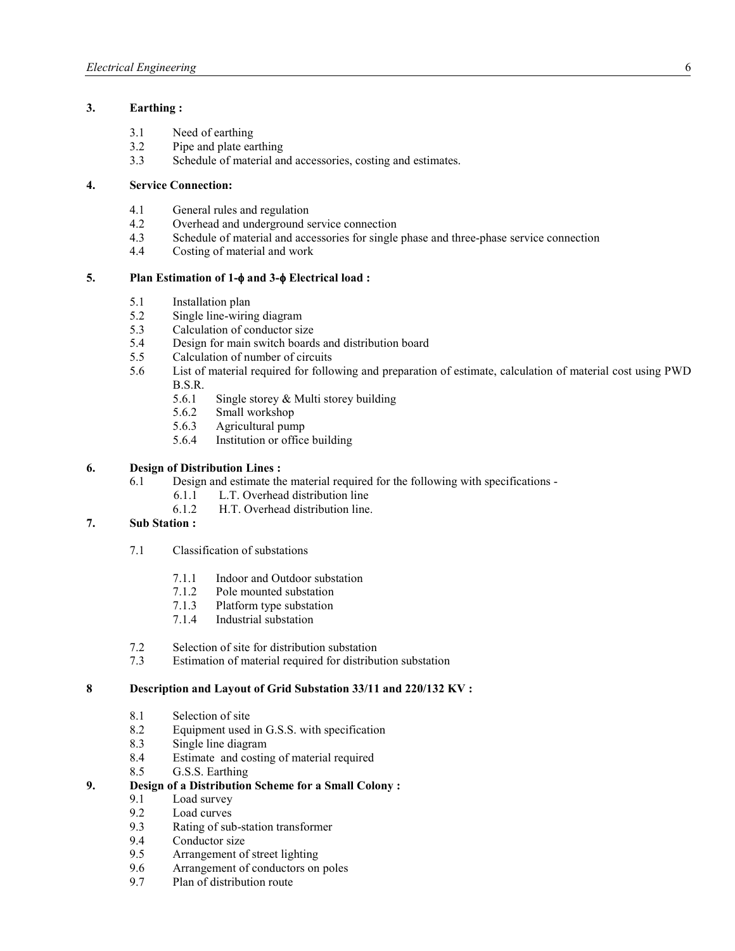## **3. Earthing :**

- 3.1 Need of earthing
- 3.2 Pipe and plate earthing<br>3.3 Schedule of material and
- Schedule of material and accessories, costing and estimates.

## **4. Service Connection:**

- 4.1 General rules and regulation
- 4.2 Overhead and underground service connection<br>4.3 Schedule of material and accessories for single
- Schedule of material and accessories for single phase and three-phase service connection
- 4.4 Costing of material and work

## **5. Plan Estimation of 1-**φ **and 3-**φ **Electrical load :**

- 5.1 Installation plan
- 5.2 Single line-wiring diagram<br>5.3 Calculation of conductor six
- Calculation of conductor size
- 5.4 Design for main switch boards and distribution board
- 5.5 Calculation of number of circuits
- 5.6 List of material required for following and preparation of estimate, calculation of material cost using PWD B.S.R.
	- 5.6.1 Single storey & Multi storey building
	- 5.6.2 Small workshop
	- 5.6.3 Agricultural pump
	- 5.6.4 Institution or office building

## **6. Design of Distribution Lines :**

- 6.1 Design and estimate the material required for the following with specifications  $6.1.1$  L.T. Overhead distribution line
	- 6.1.1 L.T. Overhead distribution line<br>6.1.2 H.T. Overhead distribution line
	- H.T. Overhead distribution line.

# **7. Sub Station :**

- 7.1 Classification of substations
	- 7.1.1 Indoor and Outdoor substation
	- 7.1.2 Pole mounted substation
	- 7.1.3 Platform type substation
	- 7.1.4 Industrial substation
- 7.2 Selection of site for distribution substation<br>7.3 Estimation of material required for distribu
- Estimation of material required for distribution substation

## **8 Description and Layout of Grid Substation 33/11 and 220/132 KV :**

- 8.1 Selection of site
- 8.2 Equipment used in G.S.S. with specification<br>8.3 Single line diagram
- Single line diagram
- 8.4 Estimate and costing of material required
- 8.5 G.S.S. Earthing

## **9. Design of a Distribution Scheme for a Small Colony :**

- 9.1 Load survey
- 9.2 Load curves<br>9.3 Rating of sul
- Rating of sub-station transformer
- 9.4 Conductor size
- 9.5 Arrangement of street lighting<br>9.6 Arrangement of conductors on
- 9.6 Arrangement of conductors on poles
- 9.7 Plan of distribution route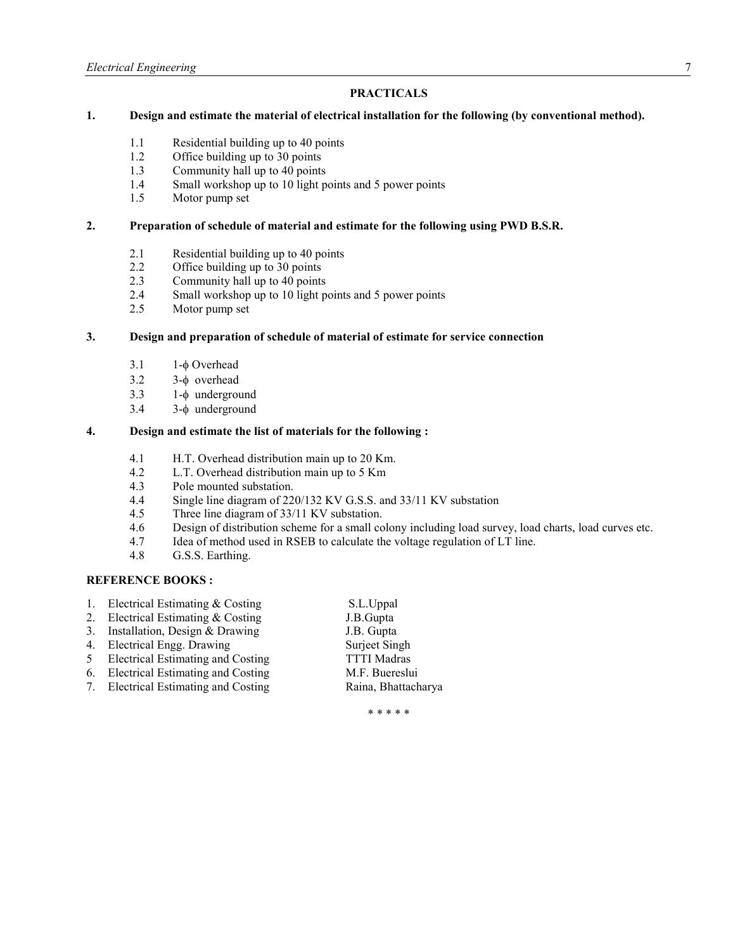## **PRACTICALS**

## **1. Design and estimate the material of electrical installation for the following (by conventional method).**

- 1.1 Residential building up to 40 points
- 1.2 Office building up to 30 points<br>1.3 Community hall up to 40 points
- 1.3 Community hall up to 40 points<br>1.4 Small workshop up to 10 light points
- 1.4 Small workshop up to 10 light points and 5 power points 1.5 Motor pump set
- Motor pump set

#### **2. Preparation of schedule of material and estimate for the following using PWD B.S.R.**

- 2.1 Residential building up to 40 points<br>2.2 Office building up to 30 points
- 2.2 Office building up to 30 points<br>2.3 Community hall up to 40 points
- Community hall up to 40 points
- 2.4 Small workshop up to 10 light points and 5 power points
- 2.5 Motor pump set

#### **3. Design and preparation of schedule of material of estimate for service connection**

- 3.1 1-φ Overhead
- 3.2 3-φ overhead
- 3.3 1-φ underground
- 3.4 3-φ underground

## **4. Design and estimate the list of materials for the following :**

- 4.1 H.T. Overhead distribution main up to 20 Km.
- 4.2 L.T. Overhead distribution main up to 5 Km<br>4.3 Pole mounted substation.
- Pole mounted substation.
- 4.4 Single line diagram of 220/132 KV G.S.S. and 33/11 KV substation
- 4.5 Three line diagram of 33/11 KV substation.<br>4.6 Design of distribution scheme for a small co
- Design of distribution scheme for a small colony including load survey, load charts, load curves etc.
- 4.7 Idea of method used in RSEB to calculate the voltage regulation of LT line.
- 4.8 G.S.S. Earthing.

#### **REFERE CE BOOKS :**

| 1. | Electrical Estimating $& Costing$        | S.L.Uppal           |
|----|------------------------------------------|---------------------|
|    | 2. Electrical Estimating & Costing       | J.B.Gupta           |
|    | 3. Installation, Design & Drawing        | J.B. Gupta          |
|    | 4. Electrical Engg. Drawing              | Surject Singh       |
| 5  | <b>Electrical Estimating and Costing</b> | <b>TTTI</b> Madras  |
|    | 6. Electrical Estimating and Costing     | M.F. Buereslui      |
|    | 7. Electrical Estimating and Costing     | Raina, Bhattacharya |
|    |                                          |                     |

\* \* \* \* \*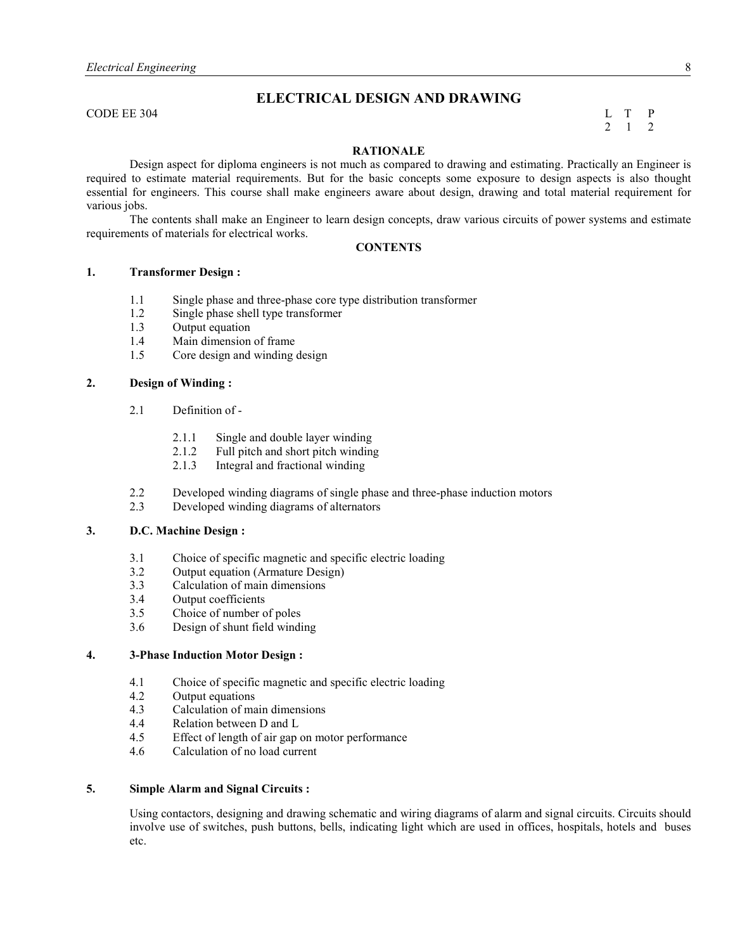# **ELECTRICAL DESIGN AND DRAWING**

CODE EE 304 L T P

# 2 1 2

## **RATIO ALE**

 Design aspect for diploma engineers is not much as compared to drawing and estimating. Practically an Engineer is required to estimate material requirements. But for the basic concepts some exposure to design aspects is also thought essential for engineers. This course shall make engineers aware about design, drawing and total material requirement for various jobs.

 The contents shall make an Engineer to learn design concepts, draw various circuits of power systems and estimate requirements of materials for electrical works.

## $\overline{CONTENTS}$

#### **1. Transformer Design :**

- 1.1 Single phase and three-phase core type distribution transformer
- 1.2 Single phase shell type transformer
- 1.3 Output equation
- 1.4 Main dimension of frame
- 1.5 Core design and winding design

## **2. Design of Winding :**

- 2.1 Definition of
	- 2.1.1 Single and double layer winding
	- 2.1.2 Full pitch and short pitch winding<br>2.1.3 Integral and fractional winding
	- Integral and fractional winding
- 2.2 Developed winding diagrams of single phase and three-phase induction motors
- 2.3 Developed winding diagrams of alternators

#### **3. D.C. Machine Design :**

- 3.1 Choice of specific magnetic and specific electric loading<br>3.2 Output equation (Armature Design)
- Output equation (Armature Design)
- 3.3 Calculation of main dimensions
- 3.4 Output coefficients<br>3.5 Choice of number of
- Choice of number of poles
- 3.6 Design of shunt field winding

## **4. 3-Phase Induction Motor Design :**

- 4.1 Choice of specific magnetic and specific electric loading<br>4.2 Output equations
- Output equations
- 4.3 Calculation of main dimensions
- 4.4 Relation between D and L<br>4.5 Effect of length of air gap
- Effect of length of air gap on motor performance
- 4.6 Calculation of no load current

#### **5. Simple Alarm and Signal Circuits :**

Using contactors, designing and drawing schematic and wiring diagrams of alarm and signal circuits. Circuits should involve use of switches, push buttons, bells, indicating light which are used in offices, hospitals, hotels and buses etc.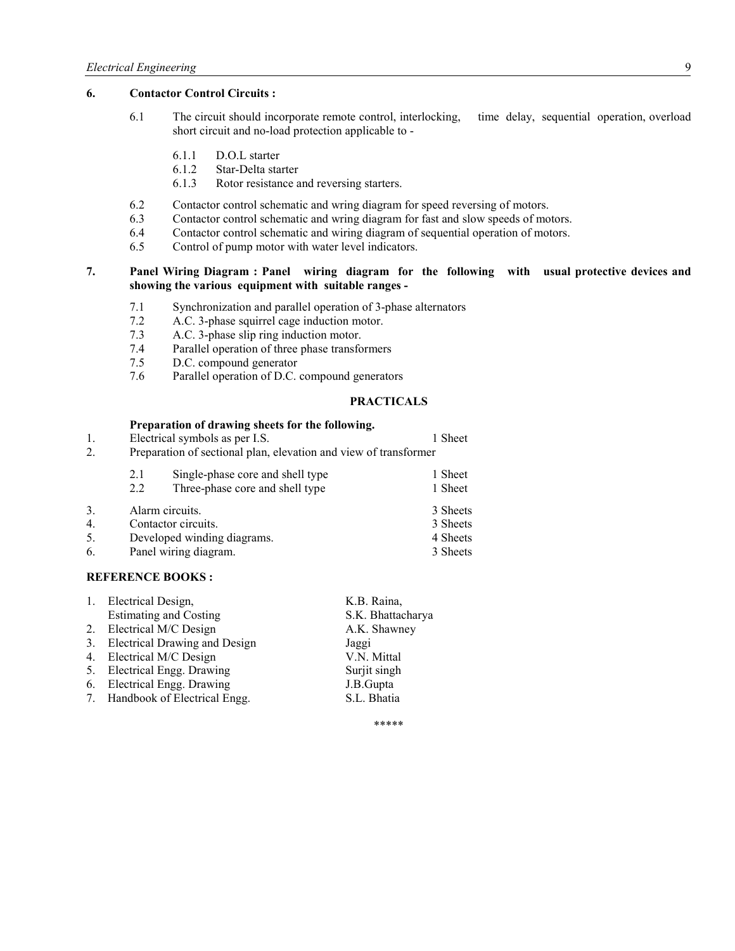## **6. Contactor Control Circuits :**

- 6.1 The circuit should incorporate remote control, interlocking, time delay, sequential operation, overload short circuit and no-load protection applicable to -
	- 6.1.1 D.O.L starter<br>6.1.2 Star-Delta sta
	- Star-Delta starter
	- 6.1.3 Rotor resistance and reversing starters.
- 6.2 Contactor control schematic and wring diagram for speed reversing of motors.
- 6.3 Contactor control schematic and wring diagram for fast and slow speeds of motors.
- 6.4 Contactor control schematic and wiring diagram of sequential operation of motors.<br>6.5 Control of pump motor with water level indicators.
- Control of pump motor with water level indicators.

## **7. Panel Wiring Diagram : Panel wiring diagram for the following with usual protective devices and showing the various equipment with suitable ranges -**

- 7.1 Synchronization and parallel operation of 3-phase alternators
- 7.2 A.C. 3-phase squirrel cage induction motor.<br>7.3 A.C. 3-phase slip ring induction motor.
- A.C. 3-phase slip ring induction motor.
- 7.4 Parallel operation of three phase transformers
- 7.5 D.C. compound generator<br>7.6 Parallel operation of D.C.
- Parallel operation of D.C. compound generators

#### **PRACTICALS**

#### **Preparation of drawing sheets for the following.**

| 1. | Electrical symbols as per I.S.                                   | 1 Sheet  |  |  |
|----|------------------------------------------------------------------|----------|--|--|
| 2. | Preparation of sectional plan, elevation and view of transformer |          |  |  |
|    | Single-phase core and shell type<br>2.1                          | 1 Sheet  |  |  |
|    | Three-phase core and shell type<br>2.2                           | 1 Sheet  |  |  |
| 3. | Alarm circuits.                                                  | 3 Sheets |  |  |
| 4. | Contactor circuits.                                              | 3 Sheets |  |  |
| 5. | Developed winding diagrams.                                      | 4 Sheets |  |  |
| 6. | Panel wiring diagram.                                            | 3 Sheets |  |  |

#### **REFERE CE BOOKS :**

|    | 1. Electrical Design,           | K.B. Raina,       |
|----|---------------------------------|-------------------|
|    | <b>Estimating and Costing</b>   | S.K. Bhattacharya |
|    | 2. Electrical M/C Design        | A.K. Shawney      |
| 3. | Electrical Drawing and Design   | Jaggi             |
|    | 4. Electrical M/C Design        | V.N. Mittal       |
|    | 5. Electrical Engg. Drawing     | Surjit singh      |
|    | 6. Electrical Engg. Drawing     | J.B.Gupta         |
|    | 7. Handbook of Electrical Engg. | S.L. Bhatia       |
|    |                                 |                   |

\*\*\*\*\*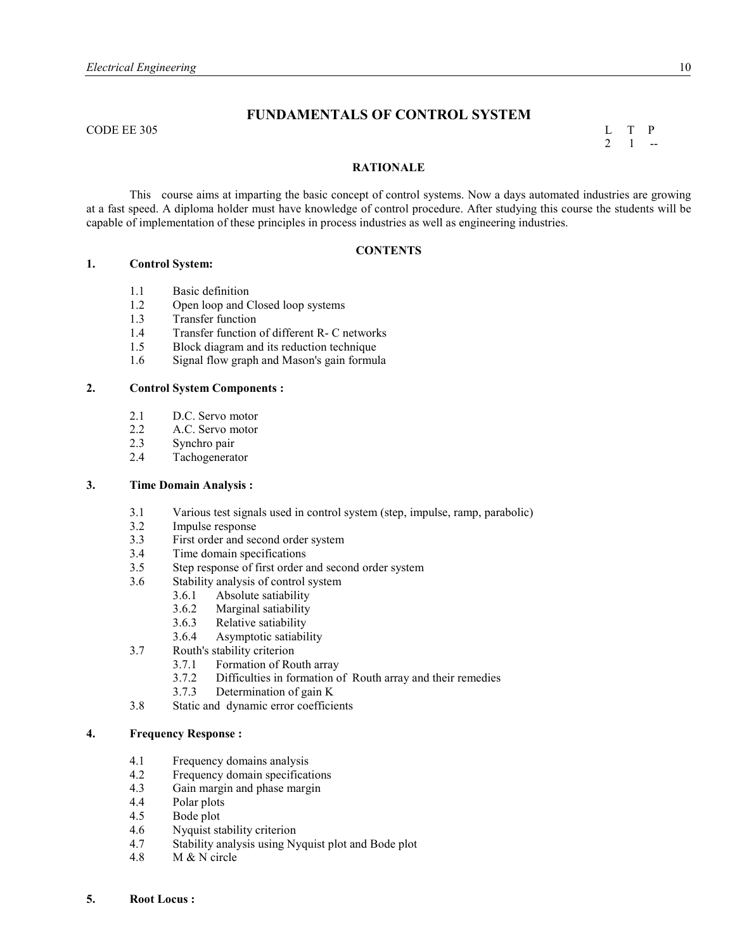# **FU DAME TALS OF CO TROL SYSTEM**

CODE EE 305 L T P

 $2 \quad 1 \quad -$ 

## **RATIO ALE**

 This course aims at imparting the basic concept of control systems. Now a days automated industries are growing at a fast speed. A diploma holder must have knowledge of control procedure. After studying this course the students will be capable of implementation of these principles in process industries as well as engineering industries.

## $\overline{CONTENTS}$

#### **1. Control System:**

- 1.1 Basic definition<br>1.2 Open loop and C
- Open loop and Closed loop systems
- 1.3 Transfer function
- 1.4 Transfer function of different R- C networks<br>1.5 Block diagram and its reduction technique
- 1.5 Block diagram and its reduction technique
- 1.6 Signal flow graph and Mason's gain formula

#### **2. Control System Components :**

- 2.1 D.C. Servo motor<br>2.2 A.C. Servo motor
- A.C. Servo motor
- 2.3 Synchro pair
- 2.4 Tachogenerator

#### **3. Time Domain Analysis :**

- 3.1 Various test signals used in control system (step, impulse, ramp, parabolic)
- 3.2 Impulse response
- 3.3 First order and second order system<br>3.4 Time domain specifications
- Time domain specifications
- 3.5 Step response of first order and second order system
- 3.6 Stability analysis of control system
	- 3.6.1 Absolute satiability
	- 3.6.2 Marginal satiability
	- 3.6.3 Relative satiability
	- 3.6.4 Asymptotic satiability
- 3.7 Routh's stability criterion
	- 3.7.1 Formation of Routh array
	- 3.7.2 Difficulties in formation of Routh array and their remedies
	- 3.7.3 Determination of gain K
- 3.8 Static and dynamic error coefficients

#### **4. Frequency Response :**

- 4.1 Frequency domains analysis
- 4.2 Frequency domain specifications
- 4.3 Gain margin and phase margin
- 4.4 Polar plots
- 4.5 Bode plot
- 4.6 Nyquist stability criterion
- 4.7 Stability analysis using Nyquist plot and Bode plot
- 4.8 M & N circle
- **5. Root Locus :**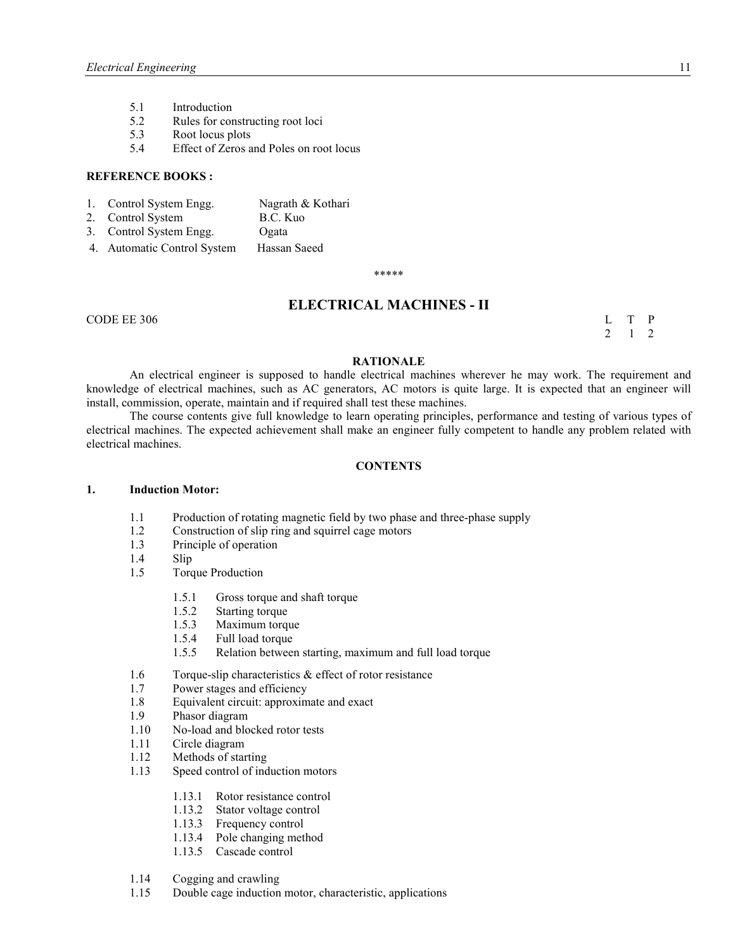- 5.1 Introduction
- 5.2 Rules for constructing root loci
- 5.3 Root locus plots<br>5.4 Effect of Zeros a
- 5.4 Effect of Zeros and Poles on root locus

#### **REFERE CE BOOKS :**

- 1. Control System Engg. Nagrath & Kothari<br>
2. Control System B.C. Kuo
- 2. Control System
- 3. Control System Engg. Ogata
- 4. Automatic Control System Hassan Saeed

\*\*\*\*\*

# $\mathbf{E}\mathbf{L}\mathbf{E}\mathbf{C}\mathbf{T}\mathbf{R}\mathbf{I}\mathbf{C}\mathbf{A}\mathbf{L}\ \mathbf{M}\mathbf{A}\mathbf{C}\mathbf{H}\mathbf{I}\mathbf{N}\mathbf{E}\mathbf{S}$  -  $\mathbf{H}$

CODE EE 306 L T P

2 1 2

#### **RATIO ALE**

 An electrical engineer is supposed to handle electrical machines wherever he may work. The requirement and knowledge of electrical machines, such as AC generators, AC motors is quite large. It is expected that an engineer will install, commission, operate, maintain and if required shall test these machines.

 The course contents give full knowledge to learn operating principles, performance and testing of various types of electrical machines. The expected achievement shall make an engineer fully competent to handle any problem related with electrical machines.

#### **CO TE TS**

#### **1. Induction Motor:**

- 1.1 Production of rotating magnetic field by two phase and three-phase supply
- 1.2 Construction of slip ring and squirrel cage motors<br>1.3 Principle of operation
- Principle of operation
- 1.4 Slip
- 1.5 Torque Production
	- 1.5.1 Gross torque and shaft torque
	- 1.5.2 Starting torque
	- 1.5.3 Maximum torque
	- 1.5.4 Full load torque
	- 1.5.5 Relation between starting, maximum and full load torque
- 1.6 Torque-slip characteristics & effect of rotor resistance
- 1.7 Power stages and efficiency
- 1.8 Equivalent circuit: approximate and exact
- 1.9 Phasor diagram
- 1.10 No-load and blocked rotor tests
- 1.11 Circle diagram
- 1.12 Methods of starting
- 1.13 Speed control of induction motors
	- 1.13.1 Rotor resistance control
	- 1.13.2 Stator voltage control
	- 1.13.3 Frequency control
	- 1.13.4 Pole changing method
	- 1.13.5 Cascade control
- 1.14 Cogging and crawling
- 1.15 Double cage induction motor, characteristic, applications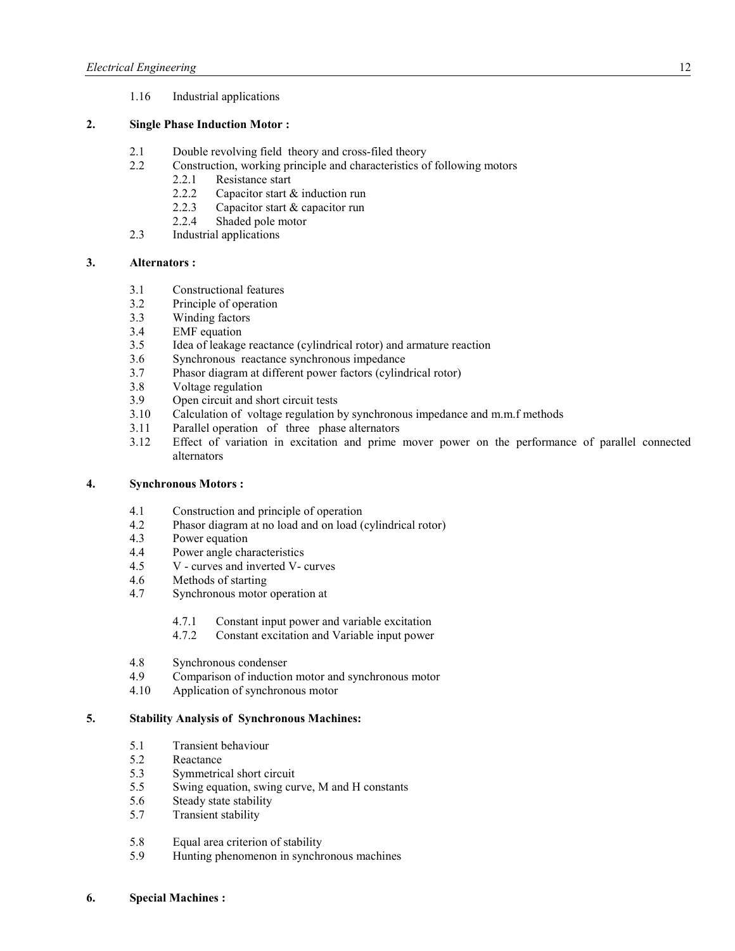1.16 Industrial applications

## **2. Single Phase Induction Motor :**

- 2.1 Double revolving field theory and cross-filed theory<br>2.2 Construction, working principle and characteristics of
- 2.2 Construction, working principle and characteristics of following motors
	- 2.2.1 Resistance start
	- 2.2.2 Capacitor start & induction run
	- 2.2.3 Capacitor start & capacitor run
	- 2.2.4 Shaded pole motor
- 2.3 Industrial applications

## **3. Alternators :**

- 3.1 Constructional features
- 3.2 Principle of operation<br>3.3 Winding factors
- 3.3 Winding factors<br>3.4 EMF equation
- EMF equation
- 3.5 Idea of leakage reactance (cylindrical rotor) and armature reaction
- 3.6 Synchronous reactance synchronous impedance
- 3.7 Phasor diagram at different power factors (cylindrical rotor)
- 3.8 Voltage regulation
- 3.9 Open circuit and short circuit tests
- 3.10 Calculation of voltage regulation by synchronous impedance and m.m.f methods
- 3.11 Parallel operation of three phase alternators
- 3.12 Effect of variation in excitation and prime mover power on the performance of parallel connected alternators

## **4. Synchronous Motors :**

- 4.1 Construction and principle of operation
- 4.2 Phasor diagram at no load and on load (cylindrical rotor)
- 4.3 Power equation
- 4.4 Power angle characteristics
- 4.5 V curves and inverted V- curves
- 4.6 Methods of starting
- 4.7 Synchronous motor operation at
	- 4.7.1 Constant input power and variable excitation
	- 4.7.2 Constant excitation and Variable input power
- 4.8 Synchronous condenser
- 4.9 Comparison of induction motor and synchronous motor
- 4.10 Application of synchronous motor

## **5. Stability Analysis of Synchronous Machines:**

- 5.1 Transient behaviour<br>5.2 Reactance
- 5.2 Reactance<br>5.3 Symmetric
- 5.3 Symmetrical short circuit<br>5.5 Swing equation swing cu
- Swing equation, swing curve, M and H constants
- 5.6 Steady state stability
- 5.7 Transient stability
- 5.8 Equal area criterion of stability
- 5.9 Hunting phenomenon in synchronous machines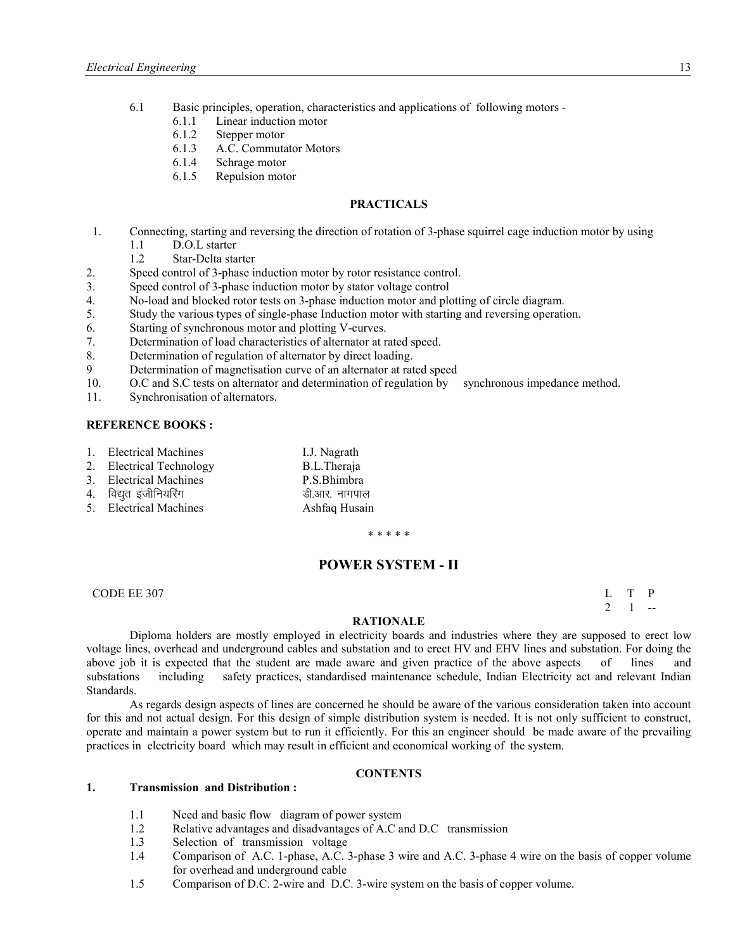- 6.1 Basic principles, operation, characteristics and applications of following motors
	- 6.1.1 Linear induction motor
	- 6.1.2 Stepper motor
	- 6.1.3 A.C. Commutator Motors
	- 6.1.4 Schrage motor
	- 6.1.5 Repulsion motor

#### **PRACTICALS**

- 1. Connecting, starting and reversing the direction of rotation of 3-phase squirrel cage induction motor by using
	- 1.1 D.O.L starter
	- 1.2 Star-Delta starter
- 2. Speed control of 3-phase induction motor by rotor resistance control.
- 3. Speed control of 3-phase induction motor by stator voltage control
- 4. No-load and blocked rotor tests on 3-phase induction motor and plotting of circle diagram.
- 5. Study the various types of single-phase Induction motor with starting and reversing operation.
- 6. Starting of synchronous motor and plotting V-curves.
- 7. Determination of load characteristics of alternator at rated speed.
- 8. Determination of regulation of alternator by direct loading.
- 9 Determination of magnetisation curve of an alternator at rated speed
- 10. O.C and S.C tests on alternator and determination of regulation by synchronous impedance method.
- 11. Synchronisation of alternators.

#### **REFERE CE BOOKS :**

- 1. Electrical Machines I.J. Nagrath
- 2. Electrical Technology B.L.Theraja<br>
3. Electrical Machines<br>
P.S. Bhimbra
- 3. Electrical Machines
- 4. विद्युत इंजीनियरिंग बाद सामान को अप की आर. नागपाल
- 5. Electrical Machines Ashfaq Husain

\* \* \* \* \*

## **POWER SYSTEM - II**

CODE EE 307 L T P  $2 \quad 1 \quad -$ 

#### **RATIO ALE**

 Diploma holders are mostly employed in electricity boards and industries where they are supposed to erect low voltage lines, overhead and underground cables and substation and to erect HV and EHV lines and substation. For doing the above job it is expected that the student are made aware and given practice of the above aspects of lines and substations including safety practices, standardised maintenance schedule, Indian Electricity act and relevant Indian Standards.

 As regards design aspects of lines are concerned he should be aware of the various consideration taken into account for this and not actual design. For this design of simple distribution system is needed. It is not only sufficient to construct, operate and maintain a power system but to run it efficiently. For this an engineer should be made aware of the prevailing practices in electricity board which may result in efficient and economical working of the system.

#### $\overline{CONTENTS}$

#### **1. Transmission and Distribution :**

- 1.1 Need and basic flow diagram of power system
- 1.2 Relative advantages and disadvantages of A.C and D.C transmission
- 1.3 Selection of transmission voltage
- 1.4 Comparison of A.C. 1-phase, A.C. 3-phase 3 wire and A.C. 3-phase 4 wire on the basis of copper volume for overhead and underground cable
- 1.5 Comparison of D.C. 2-wire and D.C. 3-wire system on the basis of copper volume.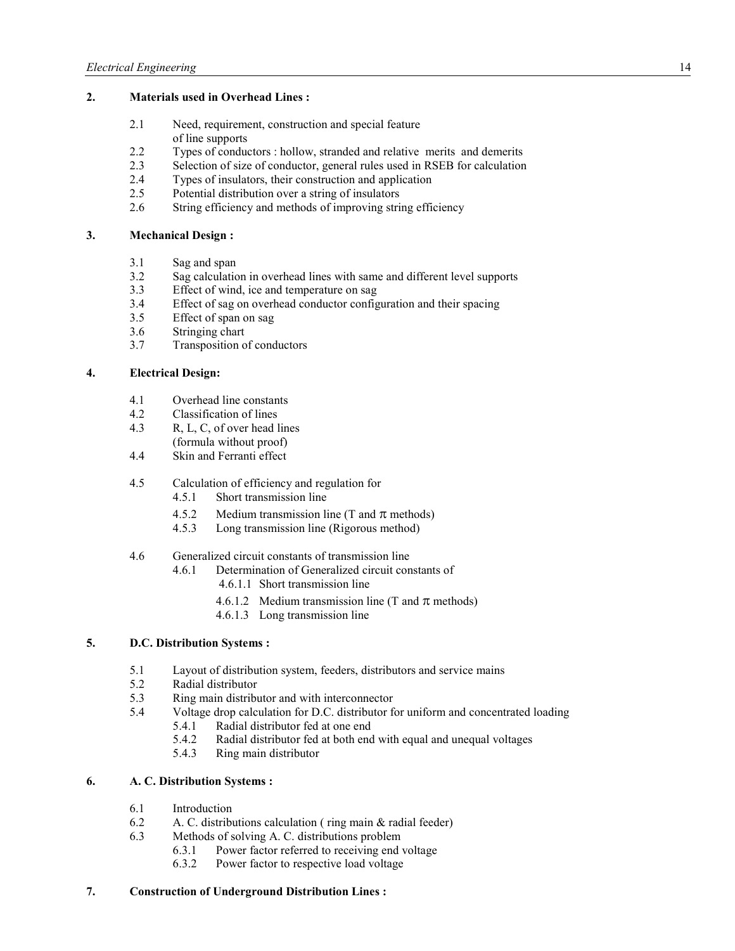## **2. Materials used in Overhead Lines :**

- 2.1 Need, requirement, construction and special feature of line supports
- 2.2 Types of conductors : hollow, stranded and relative merits and demerits 2.3 Selection of size of conductor, general rules used in RSEB for calculation
- 2.3 Selection of size of conductor, general rules used in RSEB for calculation
- 2.4 Types of insulators, their construction and application
- 2.5 Potential distribution over a string of insulators
- 2.6 String efficiency and methods of improving string efficiency

## **3. Mechanical Design :**

- 3.1 Sag and span
- 3.2 Sag calculation in overhead lines with same and different level supports
- 3.3 Effect of wind, ice and temperature on sag
- 3.4 Effect of sag on overhead conductor configuration and their spacing 3.5 Effect of span on sag
- Effect of span on sag
- 3.6 Stringing chart
- 3.7 Transposition of conductors

## **4. Electrical Design:**

- 4.1 Overhead line constants<br>4.2 Classification of lines
- Classification of lines
- 4.3 R, L, C, of over head lines (formula without proof)
- 4.4 Skin and Ferranti effect
- 4.5 Calculation of efficiency and regulation for
	- 4.5.1 Short transmission line
	- 4.5.2 Medium transmission line (T and  $\pi$  methods)<br>4.5.3 Long transmission line (Rigorous method)
	- 4.5.3 Long transmission line (Rigorous method)
- 4.6 Generalized circuit constants of transmission line
	- 4.6.1 Determination of Generalized circuit constants of
		- 4.6.1.1 Short transmission line
		- 4.6.1.2 Medium transmission line (T and  $\pi$  methods)
		- 4.6.1.3 Long transmission line

# **5. D.C. Distribution Systems :**

- 5.1 Layout of distribution system, feeders, distributors and service mains 5.2 Radial distributor
- 5.2 Radial distributor
- 5.3 Ring main distributor and with interconnector
- 5.4 Voltage drop calculation for D.C. distributor for uniform and concentrated loading
	- 5.4.1 Radial distributor fed at one end
	- 5.4.2 Radial distributor fed at both end with equal and unequal voltages
	- 5.4.3 Ring main distributor

## **6. A. C. Distribution Systems :**

- 6.1 Introduction
- 6.2 A. C. distributions calculation ( ring main & radial feeder)
- 6.3 Methods of solving A. C. distributions problem
	- 6.3.1 Power factor referred to receiving end voltage
	- 6.3.2 Power factor to respective load voltage

## **7. Construction of Underground Distribution Lines :**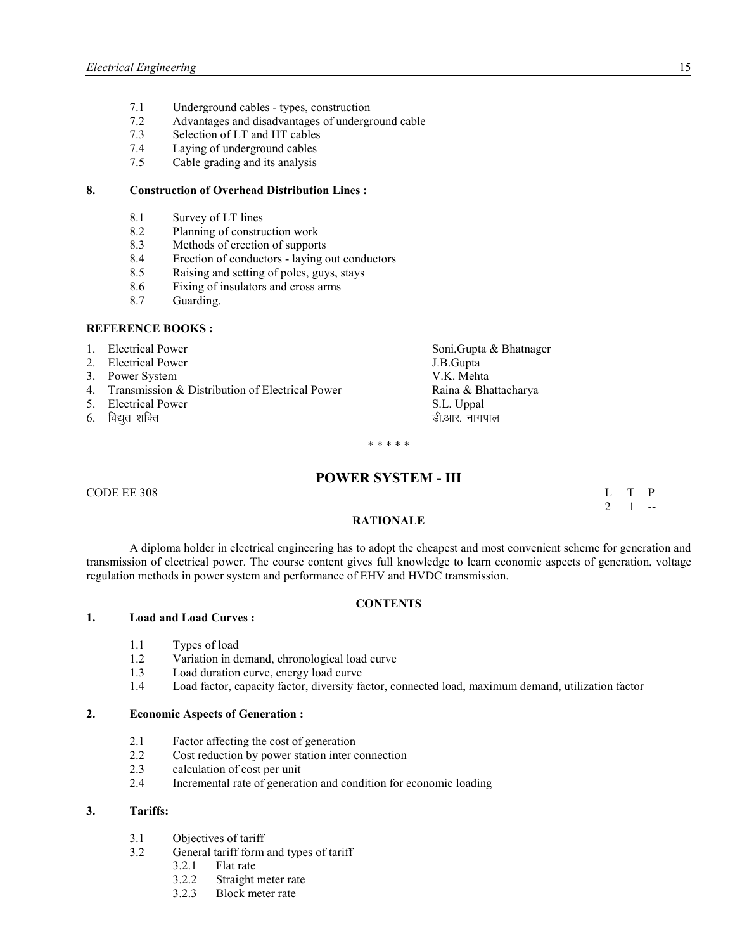- 7.1 Underground cables types, construction
- 7.2 Advantages and disadvantages of underground cable
- 7.3 Selection of LT and HT cables
- 7.4 Laying of underground cables
- 7.5 Cable grading and its analysis

## **8. Construction of Overhead Distribution Lines :**

- 8.1 Survey of LT lines<br>8.2 Planning of constru
- Planning of construction work
- 8.3 Methods of erection of supports
- 8.4 Erection of conductors laying out conductors
- 8.5 Raising and setting of poles, guys, stays
- 8.6 Fixing of insulators and cross arms
- 8.7 Guarding.

#### **REFERE CE BOOKS :**

1. Electrical Power Soni,Gupta & Bhatnager 2. Electrical Power System J.B.Gupta J.B.Gupta J.B.Gupta J.B.Gupta J.B.Gupta J.B.Gupta J.B.Gupta J.B.Gupta J.B.Gupta J.B.Gupta J.B.Gupta J.B.Gupta J.B.Gupta J.B.Gupta J.B.Gupta J.B.Gupta J.B.Gupta J.B.Gupta J.B.Gupta J.B.G 3. Power System 4. Transmission & Distribution of Electrical Power Raina & Bhattacharya 5. Electrical Power S.L. Uppal  $6.$  विद्युत शक्ति सामापाल करने के लिए क्या करने के लिए क्या क्या करने के लिए क्या क्या क्या करने के लिए क्या क

\* \* \* \* \*

## **POWER SYSTEM - III**

 $\Box$  CODE EE 308 L T P

 $2 \quad 1 \quad -$ 

#### **RATIO ALE**

 A diploma holder in electrical engineering has to adopt the cheapest and most convenient scheme for generation and transmission of electrical power. The course content gives full knowledge to learn economic aspects of generation, voltage regulation methods in power system and performance of EHV and HVDC transmission.

## $\overline{CONTENTS}$

#### **1. Load and Load Curves :**

- 1.1 Types of load
- 1.2 Variation in demand, chronological load curve
- 1.3 Load duration curve, energy load curve
- 1.4 Load factor, capacity factor, diversity factor, connected load, maximum demand, utilization factor

## **2. Economic Aspects of Generation :**

- 2.1 Factor affecting the cost of generation
- 2.2 Cost reduction by power station inter connection
- 2.3 calculation of cost per unit
- 2.4 Incremental rate of generation and condition for economic loading

#### **3. Tariffs:**

- 3.1 Objectives of tariff
- 3.2 General tariff form and types of tariff
	- 3.2.1 Flat rate
	- 3.2.2 Straight meter rate<br>3.2.3 Block meter rate
	- Block meter rate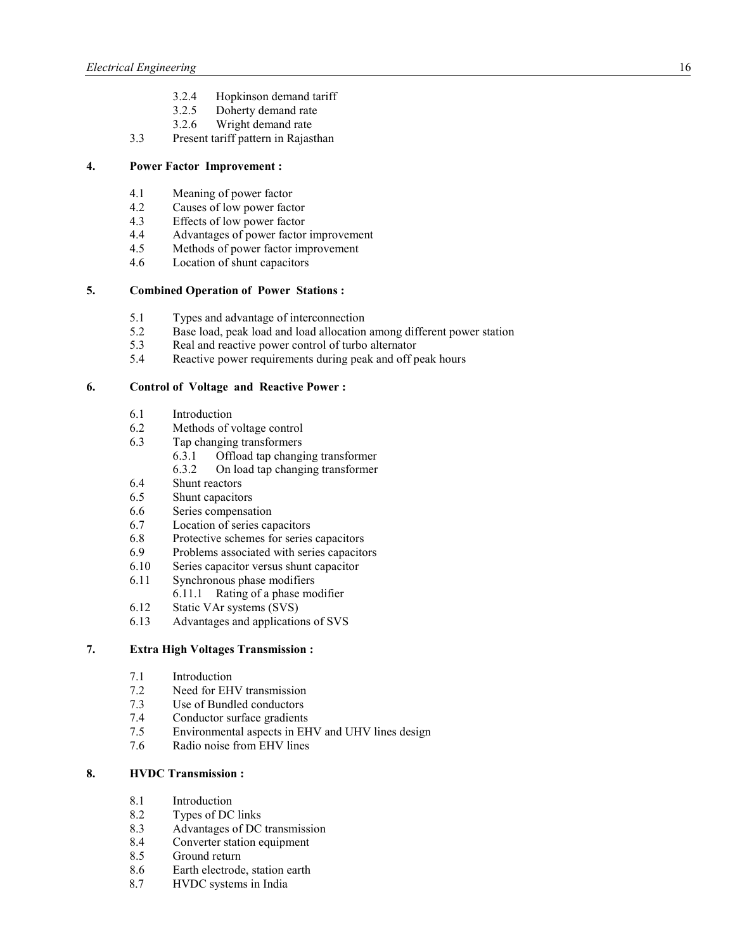- 3.2.4 Hopkinson demand tariff
- 3.2.5 Doherty demand rate
- 3.2.6 Wright demand rate
- 3.3 Present tariff pattern in Rajasthan

# **4. Power Factor Improvement :**

- 4.1 Meaning of power factor
- 4.2 Causes of low power factor<br>4.3 Effects of low power factor
- Effects of low power factor
- 4.4 Advantages of power factor improvement<br>4.5 Methods of nower factor improvement
- Methods of power factor improvement
- 4.6 Location of shunt capacitors

# **5. Combined Operation of Power Stations :**

- 5.1 Types and advantage of interconnection<br>5.2 Base load, neak load and load allocation
- Base load, peak load and load allocation among different power station
- 5.3 Real and reactive power control of turbo alternator
- 5.4 Reactive power requirements during peak and off peak hours

## **6. Control of Voltage and Reactive Power :**

- 6.1 Introduction
- 6.2 Methods of voltage control
- 6.3 Tap changing transformers
	- 6.3.1 Offload tap changing transformer
	- 6.3.2 On load tap changing transformer
- 6.4 Shunt reactors<br>6.5 Shunt capacito
- Shunt capacitors
- 6.6 Series compensation
- 6.7 Location of series capacitors
- 6.8 Protective schemes for series capacitors
- 6.9 Problems associated with series capacitors
- 6.10 Series capacitor versus shunt capacitor
- 6.11 Synchronous phase modifiers
	- 6.11.1 Rating of a phase modifier
- 6.12 Static VAr systems (SVS)
- 6.13 Advantages and applications of SVS

## **7. Extra High Voltages Transmission :**

- 7.1 Introduction
- 7.2 Need for EHV transmission<br>7.3 Use of Bundled conductors
- Use of Bundled conductors
- 7.4 Conductor surface gradients
- 7.5 Environmental aspects in EHV and UHV lines design<br>7.6 Radio noise from EHV lines
- Radio noise from EHV lines

## **8. HVDC Transmission :**

- 8.1 Introduction
- 8.2 Types of DC links<br>8.3 Advantages of DC
- 8.3 Advantages of DC transmission
- 8.4 Converter station equipment
- 8.5 Ground return
- 8.6 Earth electrode, station earth
- 8.7 HVDC systems in India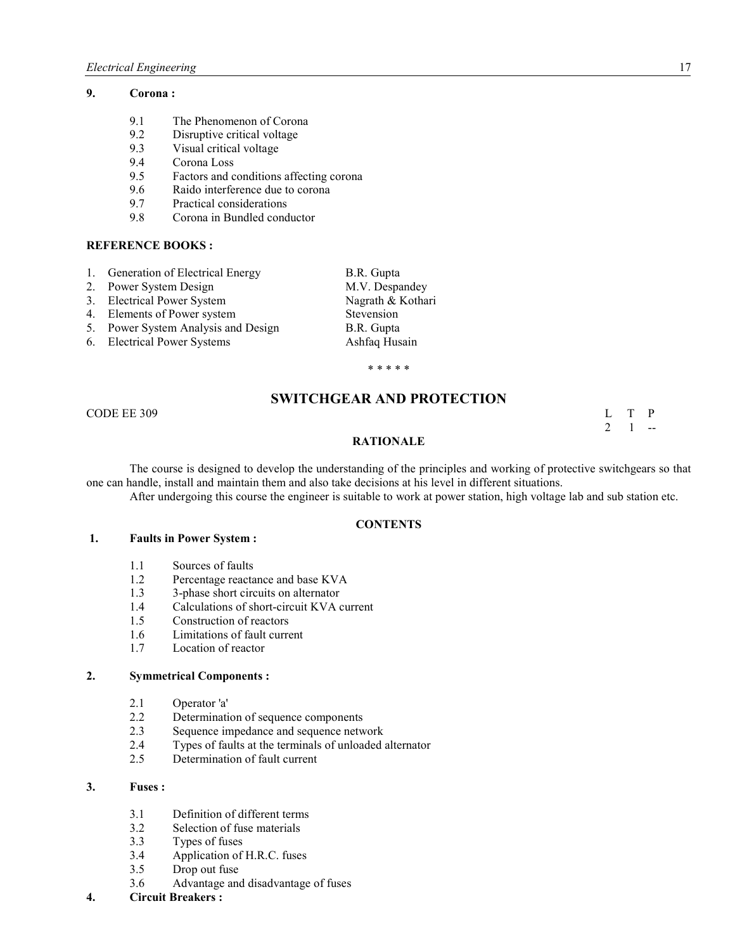## **9. Corona :**

- 9.1 The Phenomenon of Corona
- 9.2 Disruptive critical voltage<br>9.3 Visual critical voltage
- Visual critical voltage
- 9.4 Corona Loss
- 9.5 Factors and conditions affecting corona
- 9.6 Raido interference due to corona
- 9.7 Practical considerations
- 9.8 Corona in Bundled conductor

#### **REFERE CE BOOKS :**

- 1. Generation of Electrical Energy B.R. Gupta
- 2. Power System Design M.V. Despandey
- 3. Electrical Power System Nagrath & Kothari
- 4. Elements of Power system Stevension
- 5. Power System Analysis and Design B.R. Gupta
- 6. Electrical Power Systems Ashfaq Husain

\* \* \* \* \*

# **SWITCHGEAR AND PROTECTION**

CODE EE 309 L T P

# $2 \quad 1 \quad -$

## **RATIO ALE**

The course is designed to develop the understanding of the principles and working of protective switchgears so that one can handle, install and maintain them and also take decisions at his level in different situations.

After undergoing this course the engineer is suitable to work at power station, high voltage lab and sub station etc.

#### **CO TE TS**

#### **1. Faults in Power System :**

- 1.1 Sources of faults
- 1.2 Percentage reactance and base KVA
- 1.3 3-phase short circuits on alternator<br>1.4 Calculations of short-circuit KVA c
- 1.4 Calculations of short-circuit KVA current
- 1.5 Construction of reactors
- 1.6 Limitations of fault current<br>1.7 Location of reactor
- Location of reactor

#### **2. Symmetrical Components :**

- 2.1 Operator 'a'
- 2.2 Determination of sequence components<br>2.3 Sequence impedance and sequence netwo
- Sequence impedance and sequence network
- 2.4 Types of faults at the terminals of unloaded alternator
- 2.5 Determination of fault current

## **3. Fuses :**

- 3.1 Definition of different terms
- 3.2 Selection of fuse materials
- 3.3 Types of fuses<br>3.4 Application of
- Application of H.R.C. fuses
- 3.5 Drop out fuse
- 3.6 Advantage and disadvantage of fuses
- **4. Circuit Breakers :**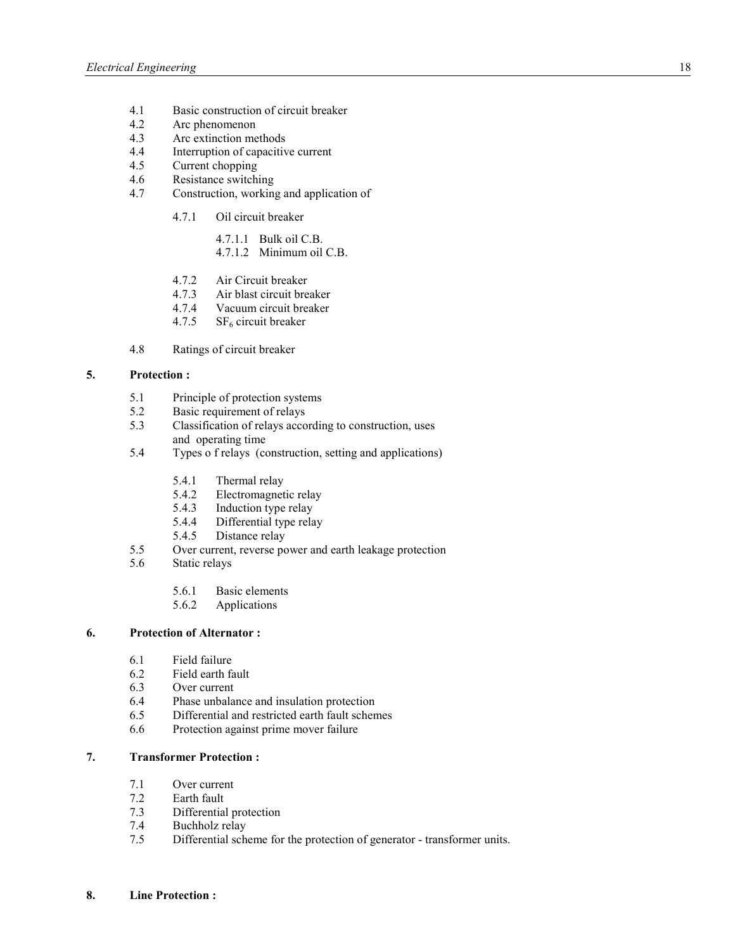- 4.1 Basic construction of circuit breaker
- 4.2 Arc phenomenon<br>4.3 Arc extinction me
- 4.3 Arc extinction methods<br>4.4 Interruption of capacitive
- 4.4 Interruption of capacitive current<br>4.5 Current chopping
- Current chopping
- 4.6 Resistance switching
- 4.7 Construction, working and application of
	- 4.7.1 Oil circuit breaker
		- 4.7.1.1 Bulk oil C.B. 4.7.1.2 Minimum oil C.B.
		-
	- 4.7.2 Air Circuit breaker
	- 4.7.3 Air blast circuit breaker
	- 4.7.4 Vacuum circuit breaker
	- 4.7.5  $SF<sub>6</sub>$  circuit breaker
- 4.8 Ratings of circuit breaker

#### **5. Protection :**

- 5.1 Principle of protection systems<br>5.2 Basic requirement of relays
- Basic requirement of relays
- 5.3 Classification of relays according to construction, uses and operating time
- 5.4 Types o f relays (construction, setting and applications)
	- 5.4.1 Thermal relay<br>5.4.2 Electromagnet
	- Electromagnetic relay
	- 5.4.3 Induction type relay
	- 5.4.4 Differential type relay<br>5.4.5 Distance relay
	- Distance relay
- 5.5 Over current, reverse power and earth leakage protection
- 5.6 Static relays
	- 5.6.1 Basic elements
	- 5.6.2 Applications

#### **6. Protection of Alternator :**

- 6.1 Field failure
- 6.2 Field earth fault
- 6.3 Over current<br>6.4 Phase unbala
- Phase unbalance and insulation protection
- 6.5 Differential and restricted earth fault schemes
- 6.6 Protection against prime mover failure

## **7. Transformer Protection :**

- 7.1 Over current
- 7.2 Earth fault
- 7.3 Differential protection<br>7.4 Buchholz relay
- Buchholz relay
- 7.5 Differential scheme for the protection of generator transformer units.
- **8. Line Protection :**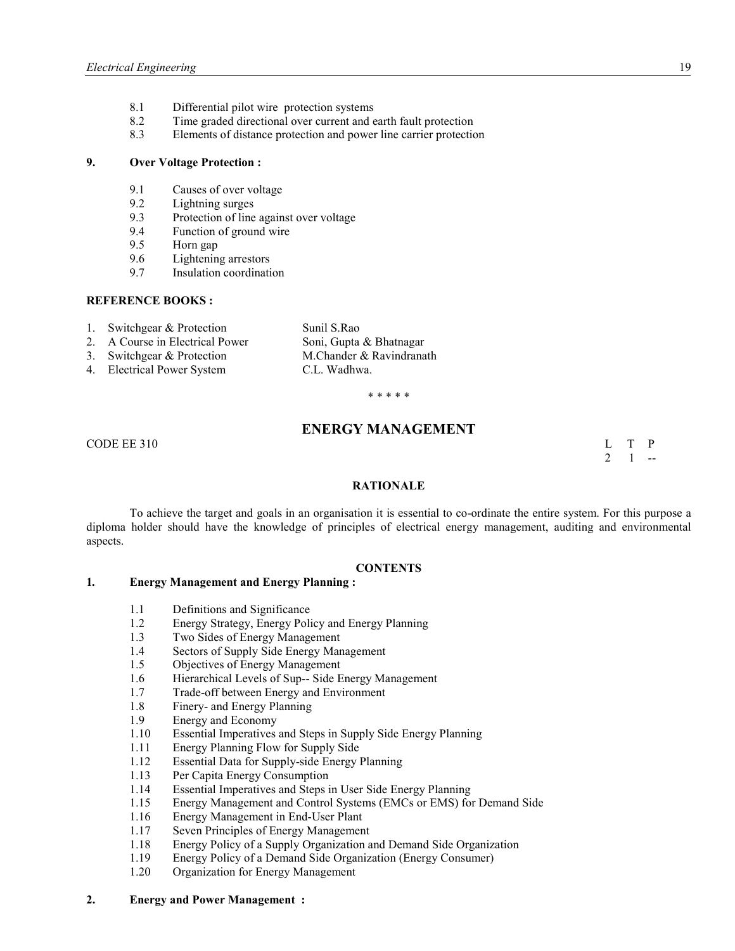- 8.1 Differential pilot wire protection systems
- 8.2 Time graded directional over current and earth fault protection
- 8.3 Elements of distance protection and power line carrier protection

#### **9. Over Voltage Protection :**

- 9.1 Causes of over voltage
- 9.2 Lightning surges<br>9.3 Protection of line
- 9.3 Protection of line against over voltage<br>9.4 Function of ground wire
- Function of ground wire
- 9.5 Horn gap
- 9.6 Lightening arrestors<br>9.7 Insulation coordinati
- 9.7 Insulation coordination

#### **REFERE CE BOOKS :**

- 1. Switchgear & Protection Sunil S.Rao
- 2. A Course in Electrical Power Soni, Gupta & Bhatnagar<br>
3. Switchgear & Protection M. Chander & Ravindranath
- 3. Switchgear  $&$  Protection
- 4. Electrical Power System C.L. Wadhwa.

\* \* \* \* \*

# **ENERGY MANAGEMENT**

CODE EE 310  $\qquad \qquad \text{L} \qquad T \qquad P$ 

# $2 \quad 1 \quad -$

#### **RATIO ALE**

To achieve the target and goals in an organisation it is essential to co-ordinate the entire system. For this purpose a diploma holder should have the knowledge of principles of electrical energy management, auditing and environmental aspects.

#### **CO TE TS**

## **1. Energy Management and Energy Planning :**

- 1.1 Definitions and Significance
- 1.2 Energy Strategy, Energy Policy and Energy Planning
- 1.3 Two Sides of Energy Management
- 1.4 Sectors of Supply Side Energy Management
- 1.5 Objectives of Energy Management
- 1.6 Hierarchical Levels of Sup-- Side Energy Management<br>1.7 Trade-off between Energy and Environment
- Trade-off between Energy and Environment
- 1.8 Finery- and Energy Planning
- 1.9 Energy and Economy<br>1.10 Essential Imperatives
- Essential Imperatives and Steps in Supply Side Energy Planning
- 1.11 Energy Planning Flow for Supply Side
- 1.12 Essential Data for Supply-side Energy Planning<br>1.13 Per Capita Energy Consumption
- Per Capita Energy Consumption
- 1.14 Essential Imperatives and Steps in User Side Energy Planning
- 1.15 Energy Management and Control Systems (EMCs or EMS) for Demand Side<br>1.16 Energy Management in End-User Plant
- 1.16 Energy Management in End-User Plant
- 1.17 Seven Principles of Energy Management
- 1.18 Energy Policy of a Supply Organization and Demand Side Organization<br>1.19 Energy Policy of a Demand Side Organization (Energy Consumer)
- Energy Policy of a Demand Side Organization (Energy Consumer)
- 1.20 Organization for Energy Management

#### **2. Energy and Power Management :**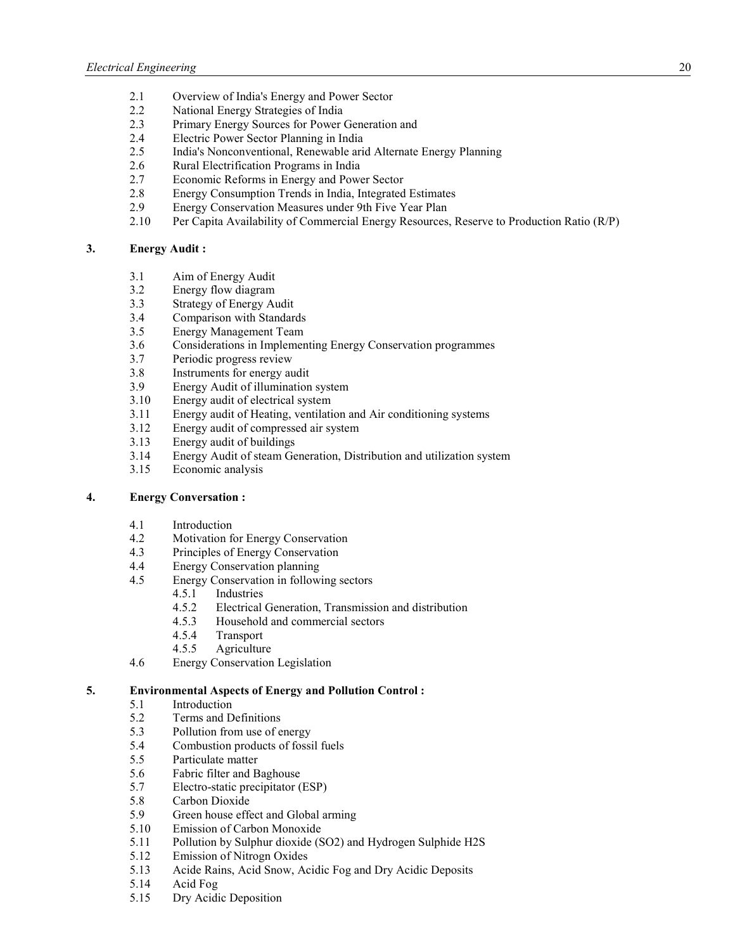- 2.1 Overview of India's Energy and Power Sector
- 2.2 National Energy Strategies of India
- 2.3 Primary Energy Sources for Power Generation and
- 2.4 Electric Power Sector Planning in India<br>2.5 India's Nonconventional, Renewable ari
- 2.5 India's Nonconventional, Renewable arid Alternate Energy Planning
- 2.6 Rural Electrification Programs in India
- 2.7 Economic Reforms in Energy and Power Sector
- 2.8 Energy Consumption Trends in India, Integrated Estimates
- 2.9 Energy Conservation Measures under 9th Five Year Plan
- 2.10 Per Capita Availability of Commercial Energy Resources, Reserve to Production Ratio (R/P)

## **3. Energy Audit :**

- 3.1 Aim of Energy Audit
- 3.2 Energy flow diagram
- 3.3 Strategy of Energy Audit<br>3.4 Comparison with Standar
- 3.4 Comparison with Standards<br>3.5 Energy Management Team
- 3.5 Energy Management Team
- 3.6 Considerations in Implementing Energy Conservation programmes
- 3.7 Periodic progress review
- 3.8 Instruments for energy audit
- 3.9 Energy Audit of illumination system
- 3.10 Energy audit of electrical system
- 3.11 Energy audit of Heating, ventilation and Air conditioning systems
- 3.12 Energy audit of compressed air system
- 3.13 Energy audit of buildings
- 3.14 Energy Audit of steam Generation, Distribution and utilization system
- 3.15 Economic analysis

## **4. Energy Conversation :**

- 4.1 Introduction
- 4.2 Motivation for Energy Conservation
- 4.3 Principles of Energy Conservation
- 4.4 Energy Conservation planning
- 4.5 Energy Conservation in following sectors
	- 4.5.1 Industries
	- 4.5.2 Electrical Generation, Transmission and distribution
	- 4.5.3 Household and commercial sectors
	- 4.5.4 Transport
	- 4.5.5 Agriculture
- 4.6 Energy Conservation Legislation

## **5. Environmental Aspects of Energy and Pollution Control :**

- 5.1 Introduction
- 5.2 Terms and Definitions
- 5.3 Pollution from use of energy<br>5.4 Combustion products of fossi
- 5.4 Combustion products of fossil fuels<br>5.5 Particulate matter
- Particulate matter
- 5.6 Fabric filter and Baghouse<br>5.7 Electro-static precipitator (
- 5.7 Electro-static precipitator (ESP)
- 5.8 Carbon Dioxide
- 5.9 Green house effect and Global arming
- 5.10 Emission of Carbon Monoxide
- 5.11 Pollution by Sulphur dioxide (SO2) and Hydrogen Sulphide H2S
- 5.12 Emission of Nitrogn Oxides
- 5.13 Acide Rains, Acid Snow, Acidic Fog and Dry Acidic Deposits
- 5.14 Acid Fog
- 5.15 Dry Acidic Deposition